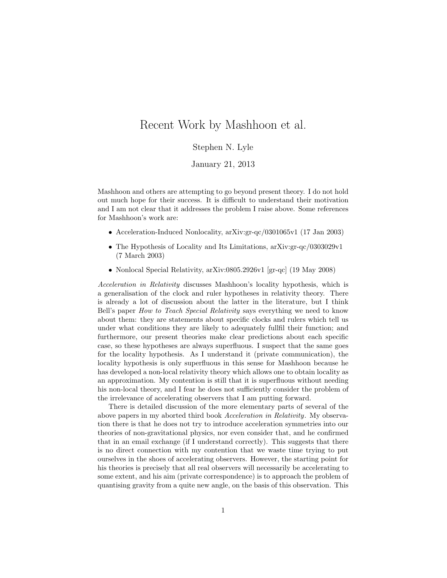## Recent Work by Mashhoon et al.

## Stephen N. Lyle

## January 21, 2013

Mashhoon and others are attempting to go beyond present theory. I do not hold out much hope for their success. It is difficult to understand their motivation and I am not clear that it addresses the problem I raise above. Some references for Mashhoon's work are:

- Acceleration-Induced Nonlocality, arXiv:gr-qc/0301065v1 (17 Jan 2003)
- The Hypothesis of Locality and Its Limitations, arXiv:gr-qc/0303029v1 (7 March 2003)
- Nonlocal Special Relativity, arXiv:0805.2926v1 [gr-qc] (19 May 2008)

Acceleration in Relativity discusses Mashhoon's locality hypothesis, which is a generalisation of the clock and ruler hypotheses in relativity theory. There is already a lot of discussion about the latter in the literature, but I think Bell's paper How to Teach Special Relativity says everything we need to know about them: they are statements about specific clocks and rulers which tell us under what conditions they are likely to adequately fullfil their function; and furthermore, our present theories make clear predictions about each specific case, so these hypotheses are always superfluous. I suspect that the same goes for the locality hypothesis. As I understand it (private communication), the locality hypothesis is only superfluous in this sense for Mashhoon because he has developed a non-local relativity theory which allows one to obtain locality as an approximation. My contention is still that it is superfluous without needing his non-local theory, and I fear he does not sufficiently consider the problem of the irrelevance of accelerating observers that I am putting forward.

There is detailed discussion of the more elementary parts of several of the above papers in my aborted third book Acceleration in Relativity. My observation there is that he does not try to introduce acceleration symmetries into our theories of non-gravitational physics, nor even consider that, and he confirmed that in an email exchange (if I understand correctly). This suggests that there is no direct connection with my contention that we waste time trying to put ourselves in the shoes of accelerating observers. However, the starting point for his theories is precisely that all real observers will necessarily be accelerating to some extent, and his aim (private correspondence) is to approach the problem of quantising gravity from a quite new angle, on the basis of this observation. This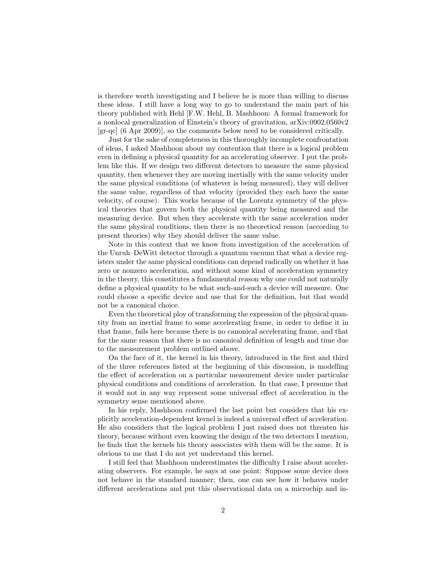is therefore worth investigating and I believe he is more than willing to discuss these ideas. I still have a long way to go to understand the main part of his theory published with Hehl [F.W. Hehl, B. Mashhoon: A formal framework for a nonlocal generalization of Einstein's theory of gravitation, arXiv:0902.0560v2 [gr-qc] (6 Apr 2009)], so the comments below need to be considered critically.

Just for the sake of completeness in this thoroughly incomplete confrontation of ideas, I asked Mashhoon about my contention that there is a logical problem even in defining a physical quantity for an accelerating observer. I put the problem like this. If we design two different detectors to measure the same physical quantity, then whenever they are moving inertially with the same velocity under the same physical conditions (of whatever is being measured), they will deliver the same value, regardless of that velocity (provided they each have the same velocity, of course). This works because of the Lorentz symmetry of the physical theories that govern both the physical quantity being measured and the measuring device. But when they accelerate with the same acceleration under the same physical conditions, then there is no theoretical reason (according to present theories) why they should deliver the same value.

Note in this context that we know from investigation of the acceleration of the Unruh–DeWitt detector through a quantum vacuum that what a device registers under the same physical conditions can depend radically on whether it has zero or nonzero acceleration, and without some kind of acceleration symmetry in the theory, this constitutes a fundamental reason why one could not naturally define a physical quantity to be what such-and-such a device will measure. One could choose a specific device and use that for the definition, but that would not be a canonical choice.

Even the theoretical ploy of transforming the expression of the physical quantity from an inertial frame to some accelerating frame, in order to define it in that frame, fails here because there is no canonical accelerating frame, and that for the same reason that there is no canonical definition of length and time due to the measurement problem outlined above.

On the face of it, the kernel in his theory, introduced in the first and third of the three references listed at the beginning of this discussion, is modelling the effect of acceleration on a particular measurement device under particular physical conditions and conditions of acceleration. In that case, I presume that it would not in any way represent some universal effect of acceleration in the symmetry sense mentioned above.

In his reply, Mashhoon confirmed the last point but considers that his explicitly acceleration-dependent kernel is indeed a universal effect of acceleration. He also considers that the logical problem I just raised does not threaten his theory, because without even knowing the design of the two detectors I mention, he finds that the kernels his theory associates with them will be the same. It is obvious to me that I do not yet understand this kernel.

I still feel that Mashhoon underestimates the difficulty I raise about accelerating observers. For example, he says at one point: Suppose some device does not behave in the standard manner; then, one can see how it behaves under different accelerations and put this observational data on a microchip and in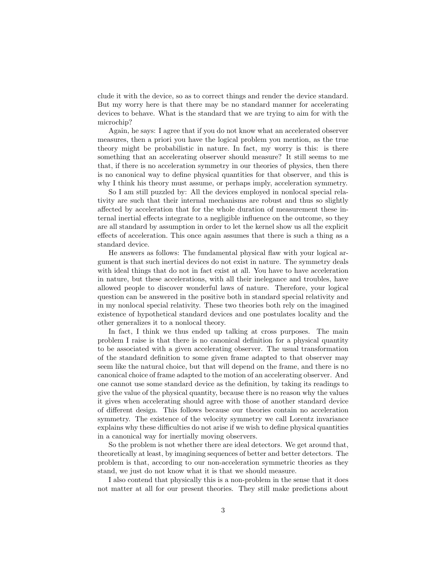clude it with the device, so as to correct things and render the device standard. But my worry here is that there may be no standard manner for accelerating devices to behave. What is the standard that we are trying to aim for with the microchip?

Again, he says: I agree that if you do not know what an accelerated observer measures, then a priori you have the logical problem you mention, as the true theory might be probabilistic in nature. In fact, my worry is this: is there something that an accelerating observer should measure? It still seems to me that, if there is no acceleration symmetry in our theories of physics, then there is no canonical way to define physical quantities for that observer, and this is why I think his theory must assume, or perhaps imply, acceleration symmetry.

So I am still puzzled by: All the devices employed in nonlocal special relativity are such that their internal mechanisms are robust and thus so slightly affected by acceleration that for the whole duration of measurement these internal inertial effects integrate to a negligible influence on the outcome, so they are all standard by assumption in order to let the kernel show us all the explicit effects of acceleration. This once again assumes that there is such a thing as a standard device.

He answers as follows: The fundamental physical flaw with your logical argument is that such inertial devices do not exist in nature. The symmetry deals with ideal things that do not in fact exist at all. You have to have acceleration in nature, but these accelerations, with all their inelegance and troubles, have allowed people to discover wonderful laws of nature. Therefore, your logical question can be answered in the positive both in standard special relativity and in my nonlocal special relativity. These two theories both rely on the imagined existence of hypothetical standard devices and one postulates locality and the other generalizes it to a nonlocal theory.

In fact, I think we thus ended up talking at cross purposes. The main problem I raise is that there is no canonical definition for a physical quantity to be associated with a given accelerating observer. The usual transformation of the standard definition to some given frame adapted to that observer may seem like the natural choice, but that will depend on the frame, and there is no canonical choice of frame adapted to the motion of an accelerating observer. And one cannot use some standard device as the definition, by taking its readings to give the value of the physical quantity, because there is no reason why the values it gives when accelerating should agree with those of another standard device of different design. This follows because our theories contain no acceleration symmetry. The existence of the velocity symmetry we call Lorentz invariance explains why these difficulties do not arise if we wish to define physical quantities in a canonical way for inertially moving observers.

So the problem is not whether there are ideal detectors. We get around that, theoretically at least, by imagining sequences of better and better detectors. The problem is that, according to our non-acceleration symmetric theories as they stand, we just do not know what it is that we should measure.

I also contend that physically this is a non-problem in the sense that it does not matter at all for our present theories. They still make predictions about